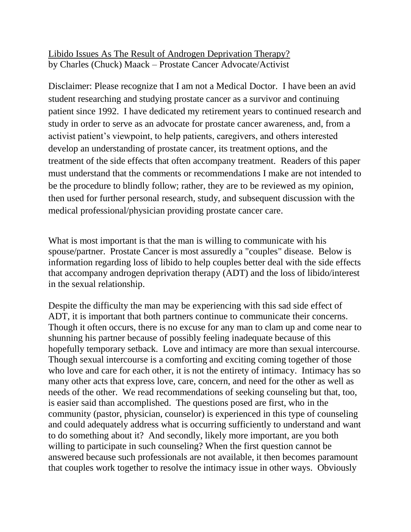Libido Issues As The Result of Androgen Deprivation Therapy? by Charles (Chuck) Maack – Prostate Cancer Advocate/Activist

Disclaimer: Please recognize that I am not a Medical Doctor. I have been an avid student researching and studying prostate cancer as a survivor and continuing patient since 1992. I have dedicated my retirement years to continued research and study in order to serve as an advocate for prostate cancer awareness, and, from a activist patient's viewpoint, to help patients, caregivers, and others interested develop an understanding of prostate cancer, its treatment options, and the treatment of the side effects that often accompany treatment. Readers of this paper must understand that the comments or recommendations I make are not intended to be the procedure to blindly follow; rather, they are to be reviewed as my opinion, then used for further personal research, study, and subsequent discussion with the medical professional/physician providing prostate cancer care.

What is most important is that the man is willing to communicate with his spouse/partner. Prostate Cancer is most assuredly a "couples" disease. Below is information regarding loss of libido to help couples better deal with the side effects that accompany androgen deprivation therapy (ADT) and the loss of libido/interest in the sexual relationship.

Despite the difficulty the man may be experiencing with this sad side effect of ADT, it is important that both partners continue to communicate their concerns. Though it often occurs, there is no excuse for any man to clam up and come near to shunning his partner because of possibly feeling inadequate because of this hopefully temporary setback. Love and intimacy are more than sexual intercourse. Though sexual intercourse is a comforting and exciting coming together of those who love and care for each other, it is not the entirety of intimacy. Intimacy has so many other acts that express love, care, concern, and need for the other as well as needs of the other. We read recommendations of seeking counseling but that, too, is easier said than accomplished. The questions posed are first, who in the community (pastor, physician, counselor) is experienced in this type of counseling and could adequately address what is occurring sufficiently to understand and want to do something about it? And secondly, likely more important, are you both willing to participate in such counseling? When the first question cannot be answered because such professionals are not available, it then becomes paramount that couples work together to resolve the intimacy issue in other ways. Obviously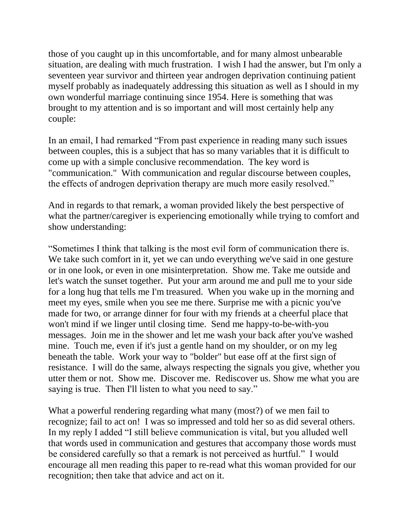those of you caught up in this uncomfortable, and for many almost unbearable situation, are dealing with much frustration. I wish I had the answer, but I'm only a seventeen year survivor and thirteen year androgen deprivation continuing patient myself probably as inadequately addressing this situation as well as I should in my own wonderful marriage continuing since 1954. Here is something that was brought to my attention and is so important and will most certainly help any couple:

In an email, I had remarked "From past experience in reading many such issues between couples, this is a subject that has so many variables that it is difficult to come up with a simple conclusive recommendation. The key word is "communication." With communication and regular discourse between couples, the effects of androgen deprivation therapy are much more easily resolved."

And in regards to that remark, a woman provided likely the best perspective of what the partner/caregiver is experiencing emotionally while trying to comfort and show understanding:

"Sometimes I think that talking is the most evil form of communication there is. We take such comfort in it, yet we can undo everything we've said in one gesture or in one look, or even in one misinterpretation. Show me. Take me outside and let's watch the sunset together. Put your arm around me and pull me to your side for a long hug that tells me I'm treasured. When you wake up in the morning and meet my eyes, smile when you see me there. Surprise me with a picnic you've made for two, or arrange dinner for four with my friends at a cheerful place that won't mind if we linger until closing time. Send me happy-to-be-with-you messages. Join me in the shower and let me wash your back after you've washed mine. Touch me, even if it's just a gentle hand on my shoulder, or on my leg beneath the table. Work your way to "bolder" but ease off at the first sign of resistance. I will do the same, always respecting the signals you give, whether you utter them or not. Show me. Discover me. Rediscover us. Show me what you are saying is true. Then I'll listen to what you need to say."

What a powerful rendering regarding what many (most?) of we men fail to recognize; fail to act on! I was so impressed and told her so as did several others. In my reply I added "I still believe communication is vital, but you alluded well that words used in communication and gestures that accompany those words must be considered carefully so that a remark is not perceived as hurtful." I would encourage all men reading this paper to re-read what this woman provided for our recognition; then take that advice and act on it.